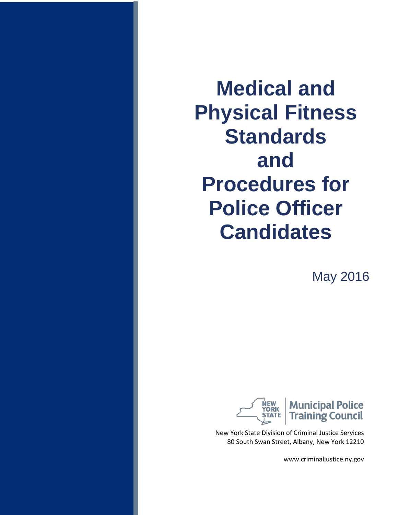**Medical and Physical Fitness Standards and Procedures for Police Officer Candidates**

May 2016



New York State Division of Criminal Justice Services 80 South Swan Street, Albany, New York 12210

www.criminaljustice.ny.gov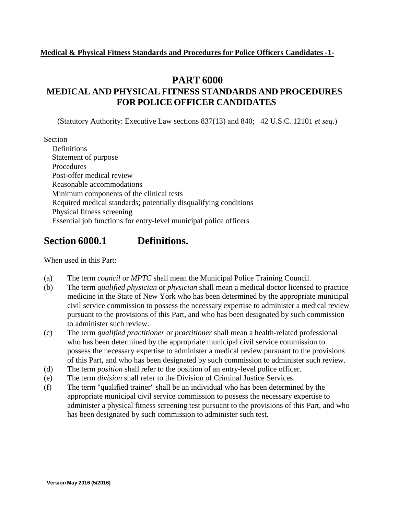#### **PART 6000**

## **MEDICAL AND PHYSICAL FITNESS STANDARDS AND PROCEDURES FOR POLICE OFFICER CANDIDATES**

(Statutory Authority: Executive Law sections 837(13) and 840; 42 U.S.C. 12101 *et seq*.)

Section

Definitions Statement of purpose Procedures Post-offer medical review Reasonable accommodations Minimum components of the clinical tests Required medical standards; potentially disqualifying conditions Physical fitness screening Essential job functions for entry-level municipal police officers

## **Section 6000.1 Definitions.**

When used in this Part:

- (a) The term *council* or *MPTC* shall mean the Municipal Police Training Council.
- (b) The term *qualified physician* or *physician* shall mean a medical doctor licensed to practice medicine in the State of New York who has been determined by the appropriate municipal civil service commission to possess the necessary expertise to administer a medical review pursuant to the provisions of this Part, and who has been designated by such commission to administer such review.
- (c) The term *qualified practitioner* or *practitioner* shall mean a health-related professional who has been determined by the appropriate municipal civil service commission to possess the necessary expertise to administer a medical review pursuant to the provisions of this Part, and who has been designated by such commission to administer such review.
- (d) The term *position* shall refer to the position of an entry-level police officer.
- (e) The term *division* shall refer to the Division of Criminal Justice Services.
- (f) The term "qualified trainer" shall be an individual who has been determined by the appropriate municipal civil service commission to possess the necessary expertise to administer a physical fitness screening test pursuant to the provisions of this Part, and who has been designated by such commission to administer such test.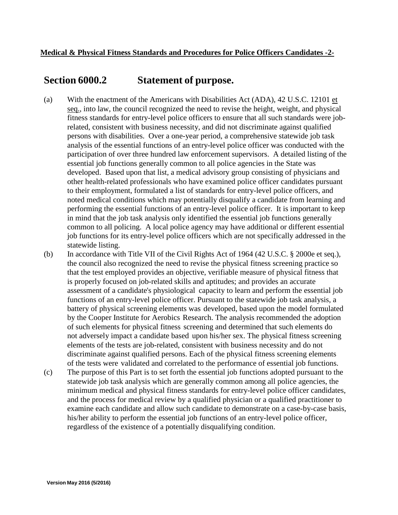### **Section 6000.2 Statement of purpose.**

- (a) With the enactment of the Americans with Disabilities Act (ADA), 42 U.S.C. 12101 et seq., into law, the council recognized the need to revise the height, weight, and physical fitness standards for entry-level police officers to ensure that all such standards were jobrelated, consistent with business necessity, and did not discriminate against qualified persons with disabilities. Over a one-year period, a comprehensive statewide job task analysis of the essential functions of an entry-level police officer was conducted with the participation of over three hundred law enforcement supervisors. A detailed listing of the essential job functions generally common to all police agencies in the State was developed. Based upon that list, a medical advisory group consisting of physicians and other health-related professionals who have examined police officer candidates pursuant to their employment, formulated a list of standards for entry-level police officers, and noted medical conditions which may potentially disqualify a candidate from learning and performing the essential functions of an entry-level police officer. It is important to keep in mind that the job task analysis only identified the essential job functions generally common to all policing. A local police agency may have additional or different essential job functions for its entry-level police officers which are not specifically addressed in the statewide listing.
- (b) In accordance with Title VII of the Civil Rights Act of 1964 (42 U.S.C. § 2000e et seq.), the council also recognized the need to revise the physical fitness screening practice so that the test employed provides an objective, verifiable measure of physical fitness that is properly focused on job-related skills and aptitudes; and provides an accurate assessment of a candidate's physiological capacity to learn and perform the essential job functions of an entry-level police officer. Pursuant to the statewide job task analysis, a battery of physical screening elements was developed, based upon the model formulated by the Cooper Institute for Aerobics Research. The analysis recommended the adoption of such elements for physical fitness screening and determined that such elements do not adversely impact a candidate based upon his/her sex. The physical fitness screening elements of the tests are job-related, consistent with business necessity and do not discriminate against qualified persons. Each of the physical fitness screening elements of the tests were validated and correlated to the performance of essential job functions.
- (c) The purpose of this Part is to set forth the essential job functions adopted pursuant to the statewide job task analysis which are generally common among all police agencies, the minimum medical and physical fitness standards for entry-level police officer candidates, and the process for medical review by a qualified physician or a qualified practitioner to examine each candidate and allow such candidate to demonstrate on a case-by-case basis, his/her ability to perform the essential job functions of an entry-level police officer, regardless of the existence of a potentially disqualifying condition.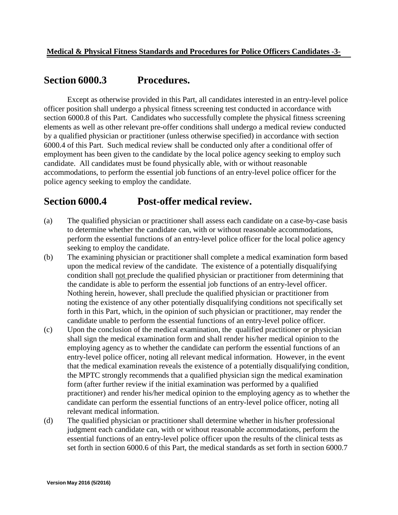## **Section 6000.3 Procedures.**

Except as otherwise provided in this Part, all candidates interested in an entry-level police officer position shall undergo a physical fitness screening test conducted in accordance with section 6000.8 of this Part. Candidates who successfully complete the physical fitness screening elements as well as other relevant pre-offer conditions shall undergo a medical review conducted by a qualified physician or practitioner (unless otherwise specified) in accordance with section 6000.4 of this Part. Such medical review shall be conducted only after a conditional offer of employment has been given to the candidate by the local police agency seeking to employ such candidate. All candidates must be found physically able, with or without reasonable accommodations, to perform the essential job functions of an entry-level police officer for the police agency seeking to employ the candidate.

## **Section 6000.4 Post-offer medical review.**

- (a) The qualified physician or practitioner shall assess each candidate on a case-by-case basis to determine whether the candidate can, with or without reasonable accommodations, perform the essential functions of an entry-level police officer for the local police agency seeking to employ the candidate.
- (b) The examining physician or practitioner shall complete a medical examination form based upon the medical review of the candidate. The existence of a potentially disqualifying condition shall not preclude the qualified physician or practitioner from determining that the candidate is able to perform the essential job functions of an entry-level officer. Nothing herein, however, shall preclude the qualified physician or practitioner from noting the existence of any other potentially disqualifying conditions not specifically set forth in this Part, which, in the opinion of such physician or practitioner, may render the candidate unable to perform the essential functions of an entry-level police officer.
- (c) Upon the conclusion of the medical examination, the qualified practitioner or physician shall sign the medical examination form and shall render his/her medical opinion to the employing agency as to whether the candidate can perform the essential functions of an entry-level police officer, noting all relevant medical information. However, in the event that the medical examination reveals the existence of a potentially disqualifying condition, the MPTC strongly recommends that a qualified physician sign the medical examination form (after further review if the initial examination was performed by a qualified practitioner) and render his/her medical opinion to the employing agency as to whether the candidate can perform the essential functions of an entry-level police officer, noting all relevant medical information.
- (d) The qualified physician or practitioner shall determine whether in his/her professional judgment each candidate can, with or without reasonable accommodations, perform the essential functions of an entry-level police officer upon the results of the clinical tests as set forth in section 6000.6 of this Part, the medical standards as set forth in section 6000.7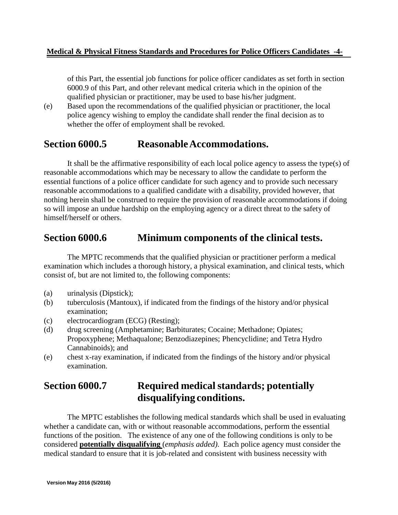#### **Medical & Physical Fitness Standards and Procedures for Police Officers Candidates -4-**

of this Part, the essential job functions for police officer candidates as set forth in section 6000.9 of this Part, and other relevant medical criteria which in the opinion of the qualified physician or practitioner, may be used to base his/her judgment.

(e) Based upon the recommendations of the qualified physician or practitioner, the local police agency wishing to employ the candidate shall render the final decision as to whether the offer of employment shall be revoked.

## **Section 6000.5 ReasonableAccommodations.**

It shall be the affirmative responsibility of each local police agency to assess the type(s) of reasonable accommodations which may be necessary to allow the candidate to perform the essential functions of a police officer candidate for such agency and to provide such necessary reasonable accommodations to a qualified candidate with a disability, provided however, that nothing herein shall be construed to require the provision of reasonable accommodations if doing so will impose an undue hardship on the employing agency or a direct threat to the safety of himself/herself or others.

## **Section 6000.6 Minimum components of the clinical tests.**

The MPTC recommends that the qualified physician or practitioner perform a medical examination which includes a thorough history, a physical examination, and clinical tests, which consist of, but are not limited to, the following components:

- (a) urinalysis (Dipstick);
- (b) tuberculosis (Mantoux), if indicated from the findings of the history and/or physical examination;
- (c) electrocardiogram (ECG) (Resting);
- (d) drug screening (Amphetamine; Barbiturates; Cocaine; Methadone; Opiates; Propoxyphene; Methaqualone; Benzodiazepines; Phencyclidine; and Tetra Hydro Cannabinoids); and
- (e) chest x-ray examination, if indicated from the findings of the history and/or physical examination.

# **Section 6000.7 Required medical standards; potentially disqualifying conditions.**

The MPTC establishes the following medical standards which shall be used in evaluating whether a candidate can, with or without reasonable accommodations, perform the essential functions of the position. The existence of any one of the following conditions is only to be considered **potentially disqualifying** (*emphasis added)*. Each police agency must consider the medical standard to ensure that it is job-related and consistent with business necessity with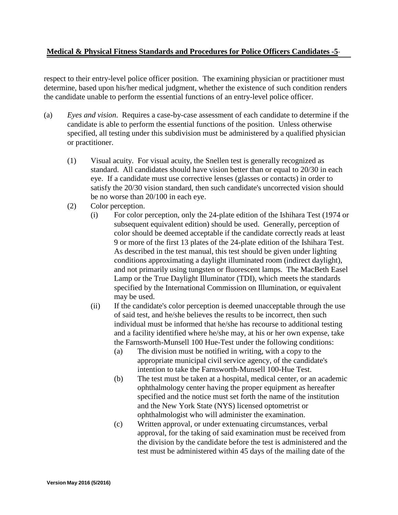#### **Medical & Physical Fitness Standards and Procedures for Police Officers Candidates -5**-

respect to their entry-level police officer position. The examining physician or practitioner must determine, based upon his/her medical judgment, whether the existence of such condition renders the candidate unable to perform the essential functions of an entry-level police officer.

- (a) *Eyes and vision*. Requires a case-by-case assessment of each candidate to determine if the candidate is able to perform the essential functions of the position. Unless otherwise specified, all testing under this subdivision must be administered by a qualified physician or practitioner.
	- (1) Visual acuity. For visual acuity, the Snellen test is generally recognized as standard. All candidates should have vision better than or equal to 20/30 in each eye. If a candidate must use corrective lenses (glasses or contacts) in order to satisfy the 20/30 vision standard, then such candidate's uncorrected vision should be no worse than 20/100 in each eye.
	- (2) Color perception.
		- (i) For color perception, only the 24-plate edition of the Ishihara Test (1974 or subsequent equivalent edition) should be used. Generally, perception of color should be deemed acceptable if the candidate correctly reads at least 9 or more of the first 13 plates of the 24-plate edition of the Ishihara Test. As described in the test manual, this test should be given under lighting conditions approximating a daylight illuminated room (indirect daylight), and not primarily using tungsten or fluorescent lamps. The MacBeth Easel Lamp or the True Daylight Illuminator (TDI), which meets the standards specified by the International Commission on Illumination, or equivalent may be used.
		- (ii) If the candidate's color perception is deemed unacceptable through the use of said test, and he/she believes the results to be incorrect, then such individual must be informed that he/she has recourse to additional testing and a facility identified where he/she may, at his or her own expense, take the Farnsworth-Munsell 100 Hue-Test under the following conditions:
			- (a) The division must be notified in writing, with a copy to the appropriate municipal civil service agency, of the candidate's intention to take the Farnsworth-Munsell 100-Hue Test.
			- (b) The test must be taken at a hospital, medical center, or an academic ophthalmology center having the proper equipment as hereafter specified and the notice must set forth the name of the institution and the New York State (NYS) licensed optometrist or ophthalmologist who will administer the examination.
			- (c) Written approval, or under extenuating circumstances, verbal approval, for the taking of said examination must be received from the division by the candidate before the test is administered and the test must be administered within 45 days of the mailing date of the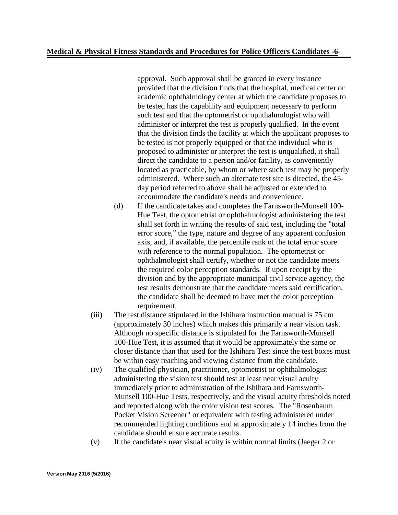#### **Medical & Physical Fitness Standards and Procedures for Police Officers Candidates -6**-

approval. Such approval shall be granted in every instance provided that the division finds that the hospital, medical center or academic ophthalmology center at which the candidate proposes to be tested has the capability and equipment necessary to perform such test and that the optometrist or ophthalmologist who will administer or interpret the test is properly qualified. In the event that the division finds the facility at which the applicant proposes to be tested is not properly equipped or that the individual who is proposed to administer or interpret the test is unqualified, it shall direct the candidate to a person and/or facility, as conveniently located as practicable, by whom or where such test may be properly administered. Where such an alternate test site is directed, the 45 day period referred to above shall be adjusted or extended to accommodate the candidate's needs and convenience.

- (d) If the candidate takes and completes the Farnsworth-Munsell 100- Hue Test, the optometrist or ophthalmologist administering the test shall set forth in writing the results of said test, including the "total error score," the type, nature and degree of any apparent confusion axis, and, if available, the percentile rank of the total error score with reference to the normal population. The optometrist or ophthalmologist shall certify, whether or not the candidate meets the required color perception standards. If upon receipt by the division and by the appropriate municipal civil service agency, the test results demonstrate that the candidate meets said certification, the candidate shall be deemed to have met the color perception requirement.
- (iii) The test distance stipulated in the Ishihara instruction manual is 75 cm (approximately 30 inches) which makes this primarily a near vision task. Although no specific distance is stipulated for the Farnsworth-Munsell 100-Hue Test, it is assumed that it would be approximately the same or closer distance than that used for the Ishihara Test since the test boxes must be within easy reaching and viewing distance from the candidate.
- (iv) The qualified physician, practitioner, optometrist or ophthalmologist administering the vision test should test at least near visual acuity immediately prior to administration of the Ishihara and Farnsworth-Munsell 100-Hue Tests, respectively, and the visual acuity thresholds noted and reported along with the color vision test scores. The "Rosenbaum Pocket Vision Screener" or equivalent with testing administered under recommended lighting conditions and at approximately 14 inches from the candidate should ensure accurate results.
- (v) If the candidate's near visual acuity is within normal limits (Jaeger 2 or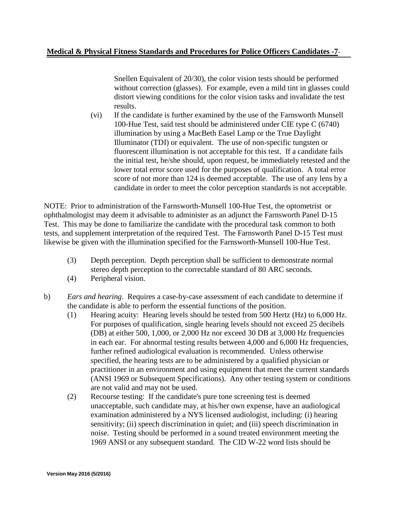#### **Medical & Physical Fitness Standards and Procedures for Police Officers Candidates -7**-

Snellen Equivalent of 20/30), the color vision tests should be performed without correction (glasses). For example, even a mild tint in glasses could distort viewing conditions for the color vision tasks and invalidate the test results.

(vi) If the candidate is further examined by the use of the Farnsworth Munsell 100-Hue Test, said test should be administered under CIE type C (6740) illumination by using a MacBeth Easel Lamp or the True Daylight Illuminator (TDI) or equivalent. The use of non-specific tungsten or fluorescent illumination is not acceptable for this test. If a candidate fails the initial test, he/she should, upon request, be immediately retested and the lower total error score used for the purposes of qualification. A total error score of not more than 124 is deemed acceptable. The use of any lens by a candidate in order to meet the color perception standards is not acceptable.

NOTE: Prior to administration of the Farnsworth-Munsell 100-Hue Test, the optometrist or ophthalmologist may deem it advisable to administer as an adjunct the Farnsworth Panel D-15 Test. This may be done to familiarize the candidate with the procedural task common to both tests, and supplement interpretation of the required Test. The Farnsworth Panel D-15 Test must likewise be given with the illumination specified for the Farnsworth-Munsell 100-Hue Test.

- (3) Depth perception. Depth perception shall be sufficient to demonstrate normal stereo depth perception to the correctable standard of 80 ARC seconds.
- (4) Peripheral vision.
- b) *Ears and hearing*. Requires a case-by-case assessment of each candidate to determine if the candidate is able to perform the essential functions of the position.
	- (1) Hearing acuity: Hearing levels should be tested from 500 Hertz (Hz) to 6,000 Hz. For purposes of qualification, single hearing levels should not exceed 25 decibels (DB) at either 500, 1,000, or 2,000 Hz nor exceed 30 DB at 3,000 Hz frequencies in each ear. For abnormal testing results between 4,000 and 6,000 Hz frequencies, further refined audiological evaluation is recommended. Unless otherwise specified, the hearing tests are to be administered by a qualified physician or practitioner in an environment and using equipment that meet the current standards (ANSI 1969 or Subsequent Specifications). Any other testing system or conditions are not valid and may not be used.
	- (2) Recourse testing: If the candidate's pure tone screening test is deemed unacceptable, such candidate may, at his/her own expense, have an audiological examination administered by a NYS licensed audiologist, including: (i) hearing sensitivity; (ii) speech discrimination in quiet; and (iii) speech discrimination in noise. Testing should be performed in a sound treated environment meeting the 1969 ANSI or any subsequent standard. The CID W-22 word lists should be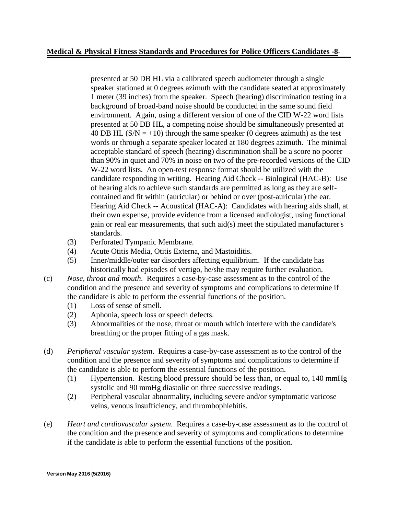#### **Medical & Physical Fitness Standards and Procedures for Police Officers Candidates -8**-

presented at 50 DB HL via a calibrated speech audiometer through a single speaker stationed at 0 degrees azimuth with the candidate seated at approximately 1 meter (39 inches) from the speaker. Speech (hearing) discrimination testing in a background of broad-band noise should be conducted in the same sound field environment. Again, using a different version of one of the CID W-22 word lists presented at 50 DB HL, a competing noise should be simultaneously presented at 40 DB HL  $(S/N = +10)$  through the same speaker (0 degrees azimuth) as the test words or through a separate speaker located at 180 degrees azimuth. The minimal acceptable standard of speech (hearing) discrimination shall be a score no poorer than 90% in quiet and 70% in noise on two of the pre-recorded versions of the CID W-22 word lists. An open-test response format should be utilized with the candidate responding in writing. Hearing Aid Check -- Biological (HAC-B): Use of hearing aids to achieve such standards are permitted as long as they are selfcontained and fit within (auricular) or behind or over (post-auricular) the ear. Hearing Aid Check -- Acoustical (HAC-A): Candidates with hearing aids shall, at their own expense, provide evidence from a licensed audiologist, using functional gain or real ear measurements, that such aid(s) meet the stipulated manufacturer's standards.

- (3) Perforated Tympanic Membrane.
- (4) Acute Otitis Media, Otitis Externa, and Mastoiditis.
- (5) Inner/middle/outer ear disorders affecting equilibrium. If the candidate has historically had episodes of vertigo, he/she may require further evaluation.
- (c) *Nose, throat and mouth*. Requires a case-by-case assessment as to the control of the condition and the presence and severity of symptoms and complications to determine if the candidate is able to perform the essential functions of the position.
	- (1) Loss of sense of smell.
	- (2) Aphonia, speech loss or speech defects.
	- (3) Abnormalities of the nose, throat or mouth which interfere with the candidate's breathing or the proper fitting of a gas mask.
- (d) *Peripheral vascular system*. Requires a case-by-case assessment as to the control of the condition and the presence and severity of symptoms and complications to determine if the candidate is able to perform the essential functions of the position.
	- (1) Hypertension. Resting blood pressure should be less than, or equal to, 140 mmHg systolic and 90 mmHg diastolic on three successive readings.
	- (2) Peripheral vascular abnormality, including severe and/or symptomatic varicose veins, venous insufficiency, and thrombophlebitis.
- (e) *Heart and cardiovascular system*. Requires a case-by-case assessment as to the control of the condition and the presence and severity of symptoms and complications to determine if the candidate is able to perform the essential functions of the position.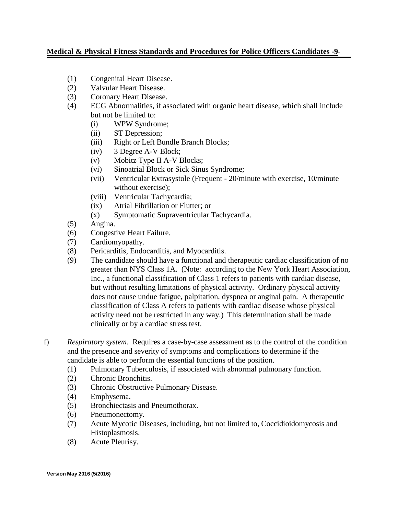#### **Medical & Physical Fitness Standards and Procedures for Police Officers Candidates -9**-

- (1) Congenital Heart Disease.
- (2) Valvular Heart Disease.
- (3) Coronary Heart Disease.
- (4) ECG Abnormalities, if associated with organic heart disease, which shall include but not be limited to:
	- (i) WPW Syndrome;
	- (ii) ST Depression;
	- (iii) Right or Left Bundle Branch Blocks;
	- (iv) 3 Degree A-V Block;
	- (v) Mobitz Type II A-V Blocks;
	- (vi) Sinoatrial Block or Sick Sinus Syndrome;
	- (vii) Ventricular Extrasystole (Frequent 20/minute with exercise, 10/minute without exercise);
	- (viii) Ventricular Tachycardia;
	- (ix) Atrial Fibrillation or Flutter; or
	- (x) Symptomatic Supraventricular Tachycardia.
- (5) Angina.
- (6) Congestive Heart Failure.
- (7) Cardiomyopathy.
- (8) Pericarditis, Endocarditis, and Myocarditis.
- (9) The candidate should have a functional and therapeutic cardiac classification of no greater than NYS Class 1A. (Note: according to the New York Heart Association, Inc., a functional classification of Class 1 refers to patients with cardiac disease, but without resulting limitations of physical activity. Ordinary physical activity does not cause undue fatigue, palpitation, dyspnea or anginal pain. A therapeutic classification of Class A refers to patients with cardiac disease whose physical activity need not be restricted in any way.) This determination shall be made clinically or by a cardiac stress test.
- f) *Respiratory system*. Requires a case-by-case assessment as to the control of the condition and the presence and severity of symptoms and complications to determine if the candidate is able to perform the essential functions of the position.
	- (1) Pulmonary Tuberculosis, if associated with abnormal pulmonary function.
	- (2) Chronic Bronchitis.
	- (3) Chronic Obstructive Pulmonary Disease.
	- (4) Emphysema.
	- (5) Bronchiectasis and Pneumothorax.
	- (6) Pneumonectomy.
	- (7) Acute Mycotic Diseases, including, but not limited to, Coccidioidomycosis and Histoplasmosis.
	- (8) Acute Pleurisy.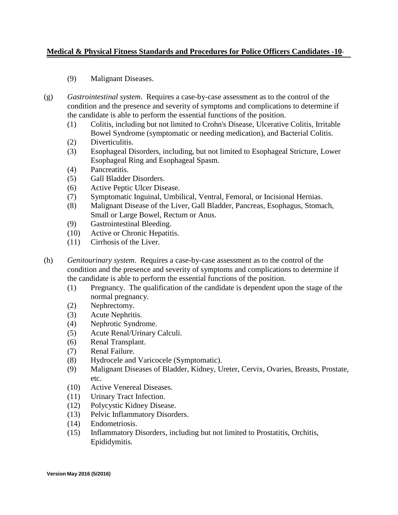#### **Medical & Physical Fitness Standards and Procedures for Police Officers Candidates -10**-

- (9) Malignant Diseases.
- (g) *Gastrointestinal system*. Requires a case-by-case assessment as to the control of the condition and the presence and severity of symptoms and complications to determine if the candidate is able to perform the essential functions of the position.
	- (1) Colitis, including but not limited to Crohn's Disease, Ulcerative Colitis, Irritable Bowel Syndrome (symptomatic or needing medication), and Bacterial Colitis.
	- (2) Diverticulitis.
	- (3) Esophageal Disorders, including, but not limited to Esophageal Stricture, Lower Esophageal Ring and Esophageal Spasm.
	- (4) Pancreatitis.
	- (5) Gall Bladder Disorders.
	- (6) Active Peptic Ulcer Disease.
	- (7) Symptomatic Inguinal, Umbilical, Ventral, Femoral, or Incisional Hernias.
	- (8) Malignant Disease of the Liver, Gall Bladder, Pancreas, Esophagus, Stomach, Small or Large Bowel, Rectum or Anus.
	- (9) Gastrointestinal Bleeding.
	- (10) Active or Chronic Hepatitis.
	- (11) Cirrhosis of the Liver.
- (h) *Genitourinary system*. Requires a case-by-case assessment as to the control of the condition and the presence and severity of symptoms and complications to determine if the candidate is able to perform the essential functions of the position.
	- (1) Pregnancy. The qualification of the candidate is dependent upon the stage of the normal pregnancy.
	- (2) Nephrectomy.
	- (3) Acute Nephritis.
	- (4) Nephrotic Syndrome.
	- (5) Acute Renal/Urinary Calculi.
	- (6) Renal Transplant.
	- (7) Renal Failure.
	- (8) Hydrocele and Varicocele (Symptomatic).
	- (9) Malignant Diseases of Bladder, Kidney, Ureter, Cervix, Ovaries, Breasts, Prostate, etc.
	- (10) Active Venereal Diseases.
	- (11) Urinary Tract Infection.
	- (12) Polycystic Kidney Disease.
	- (13) Pelvic Inflammatory Disorders.
	- (14) Endometriosis.
	- (15) Inflammatory Disorders, including but not limited to Prostatitis, Orchitis, Epididymitis.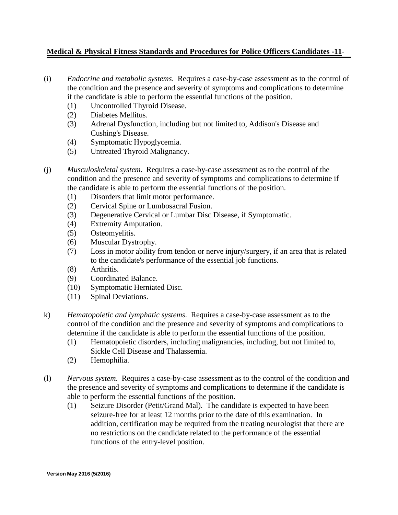#### **Medical & Physical Fitness Standards and Procedures for Police Officers Candidates -11**-

- (i) *Endocrine and metabolic systems*. Requires a case-by-case assessment as to the control of the condition and the presence and severity of symptoms and complications to determine if the candidate is able to perform the essential functions of the position.
	- (1) Uncontrolled Thyroid Disease.
	- (2) Diabetes Mellitus.
	- (3) Adrenal Dysfunction, including but not limited to, Addison's Disease and Cushing's Disease.
	- (4) Symptomatic Hypoglycemia.
	- (5) Untreated Thyroid Malignancy.
- (j) *Musculoskeletal system*. Requires a case-by-case assessment as to the control of the condition and the presence and severity of symptoms and complications to determine if the candidate is able to perform the essential functions of the position.
	- (1) Disorders that limit motor performance.
	- (2) Cervical Spine or Lumbosacral Fusion.
	- (3) Degenerative Cervical or Lumbar Disc Disease, if Symptomatic.
	- (4) Extremity Amputation.
	- (5) Osteomyelitis.
	- (6) Muscular Dystrophy.
	- (7) Loss in motor ability from tendon or nerve injury/surgery, if an area that is related to the candidate's performance of the essential job functions.
	- (8) Arthritis.
	- (9) Coordinated Balance.
	- (10) Symptomatic Herniated Disc.
	- (11) Spinal Deviations.
- k) *Hematopoietic and lymphatic systems*. Requires a case-by-case assessment as to the control of the condition and the presence and severity of symptoms and complications to determine if the candidate is able to perform the essential functions of the position.
	- (1) Hematopoietic disorders, including malignancies, including, but not limited to, Sickle Cell Disease and Thalassemia.
	- (2) Hemophilia.
- (l) *Nervous system*. Requires a case-by-case assessment as to the control of the condition and the presence and severity of symptoms and complications to determine if the candidate is able to perform the essential functions of the position.
	- (1) Seizure Disorder (Petit/Grand Mal). The candidate is expected to have been seizure-free for at least 12 months prior to the date of this examination. In addition, certification may be required from the treating neurologist that there are no restrictions on the candidate related to the performance of the essential functions of the entry-level position.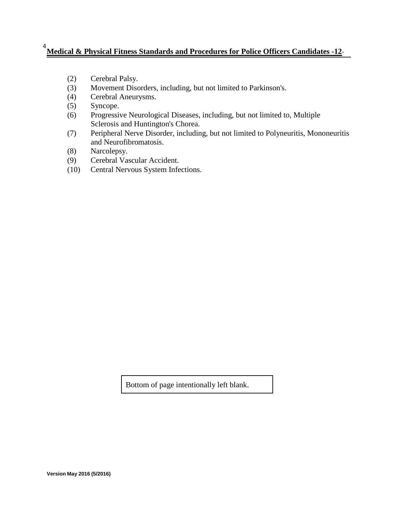# **Medical & Physical Fitness Standards and Procedures for Police Officers Candidates -12**- <sup>4</sup>

- (2) Cerebral Palsy.
- (3) Movement Disorders, including, but not limited to Parkinson's.
- (4) Cerebral Aneurysms.
- (5) Syncope.
- (6) Progressive Neurological Diseases, including, but not limited to, Multiple Sclerosis and Huntington's Chorea.
- (7) Peripheral Nerve Disorder, including, but not limited to Polyneuritis, Mononeuritis and Neurofibromatosis.
- (8) Narcolepsy.
- (9) Cerebral Vascular Accident.
- (10) Central Nervous System Infections.

Bottom of page intentionally left blank.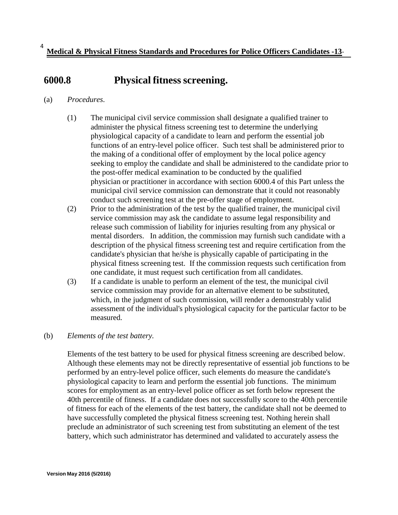# **6000.8 Physical fitness screening.**

- (a) *Procedures*.
	- (1) The municipal civil service commission shall designate a qualified trainer to administer the physical fitness screening test to determine the underlying physiological capacity of a candidate to learn and perform the essential job functions of an entry-level police officer. Such test shall be administered prior to the making of a conditional offer of employment by the local police agency seeking to employ the candidate and shall be administered to the candidate prior to the post-offer medical examination to be conducted by the qualified physician or practitioner in accordance with section 6000.4 of this Part unless the municipal civil service commission can demonstrate that it could not reasonably conduct such screening test at the pre-offer stage of employment.
	- (2) Prior to the administration of the test by the qualified trainer, the municipal civil service commission may ask the candidate to assume legal responsibility and release such commission of liability for injuries resulting from any physical or mental disorders. In addition, the commission may furnish such candidate with a description of the physical fitness screening test and require certification from the candidate's physician that he/she is physically capable of participating in the physical fitness screening test. If the commission requests such certification from one candidate, it must request such certification from all candidates.
	- (3) If a candidate is unable to perform an element of the test, the municipal civil service commission may provide for an alternative element to be substituted, which, in the judgment of such commission, will render a demonstrably valid assessment of the individual's physiological capacity for the particular factor to be measured.

#### (b) *Elements of the test battery.*

Elements of the test battery to be used for physical fitness screening are described below. Although these elements may not be directly representative of essential job functions to be performed by an entry-level police officer, such elements do measure the candidate's physiological capacity to learn and perform the essential job functions. The minimum scores for employment as an entry-level police officer as set forth below represent the 40th percentile of fitness. If a candidate does not successfully score to the 40th percentile of fitness for each of the elements of the test battery, the candidate shall not be deemed to have successfully completed the physical fitness screening test. Nothing herein shall preclude an administrator of such screening test from substituting an element of the test battery, which such administrator has determined and validated to accurately assess the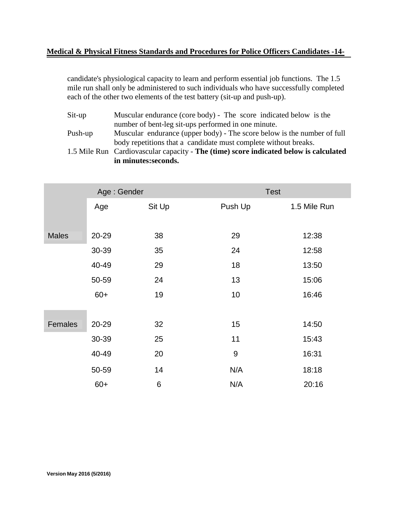#### **Medical & Physical Fitness Standards and Procedures for Police Officers Candidates -14-**

candidate's physiological capacity to learn and perform essential job functions. The 1.5 mile run shall only be administered to such individuals who have successfully completed each of the other two elements of the test battery (sit-up and push-up).

Sit-up Muscular endurance (core body) - The score indicated below is the number of bent-leg sit-ups performed in one minute.

Push-up Muscular endurance (upper body) - The score below is the number of full body repetitions that a candidate must complete without breaks.

1.5 Mile Run Cardiovascular capacity - **The (time) score indicated below is calculated in minutes:seconds.**

|              | Age: Gender |        | <b>Test</b> |              |
|--------------|-------------|--------|-------------|--------------|
|              | Age         | Sit Up | Push Up     | 1.5 Mile Run |
|              |             |        |             |              |
| <b>Males</b> | 20-29       | 38     | 29          | 12:38        |
|              | 30-39       | 35     | 24          | 12:58        |
|              | 40-49       | 29     | 18          | 13:50        |
|              | 50-59       | 24     | 13          | 15:06        |
|              | $60+$       | 19     | 10          | 16:46        |
|              |             |        |             |              |
| Females      | 20-29       | 32     | 15          | 14:50        |
|              | 30-39       | 25     | 11          | 15:43        |
|              | 40-49       | 20     | 9           | 16:31        |
|              | 50-59       | 14     | N/A         | 18:18        |
|              | $60+$       | $\,6$  | N/A         | 20:16        |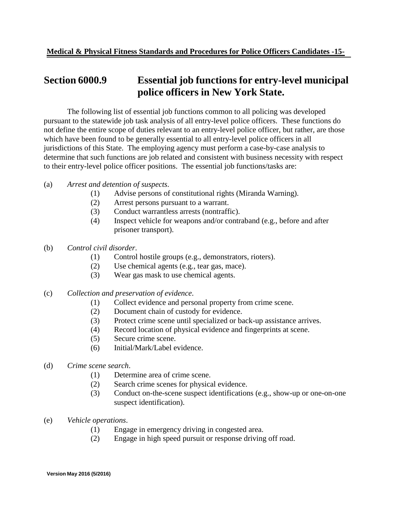## **Section 6000.9 Essential job functions for entry-level municipal police officers in New York State.**

The following list of essential job functions common to all policing was developed pursuant to the statewide job task analysis of all entry-level police officers. These functions do not define the entire scope of duties relevant to an entry-level police officer, but rather, are those which have been found to be generally essential to all entry-level police officers in all jurisdictions of this State. The employing agency must perform a case-by-case analysis to determine that such functions are job related and consistent with business necessity with respect to their entry-level police officer positions. The essential job functions/tasks are:

- (a) *Arrest and detention of suspects*.
	- (1) Advise persons of constitutional rights (Miranda Warning).
	- (2) Arrest persons pursuant to a warrant.
	- (3) Conduct warrantless arrests (nontraffic).
	- (4) Inspect vehicle for weapons and/or contraband (e.g., before and after prisoner transport).
- (b) *Control civil disorder*.
	- (1) Control hostile groups (e.g., demonstrators, rioters).
	- (2) Use chemical agents (e.g., tear gas, mace).
	- (3) Wear gas mask to use chemical agents.
- (c) *Collection and preservation of evidence*.
	- (1) Collect evidence and personal property from crime scene.
	- (2) Document chain of custody for evidence.
	- (3) Protect crime scene until specialized or back-up assistance arrives.
	- (4) Record location of physical evidence and fingerprints at scene.
	- (5) Secure crime scene.
	- (6) Initial/Mark/Label evidence.
- (d) *Crime scene search*.
	- (1) Determine area of crime scene.
	- (2) Search crime scenes for physical evidence.
	- (3) Conduct on-the-scene suspect identifications (e.g., show-up or one-on-one suspect identification).
- (e) *Vehicle operations*.
	- (1) Engage in emergency driving in congested area.
	- (2) Engage in high speed pursuit or response driving off road.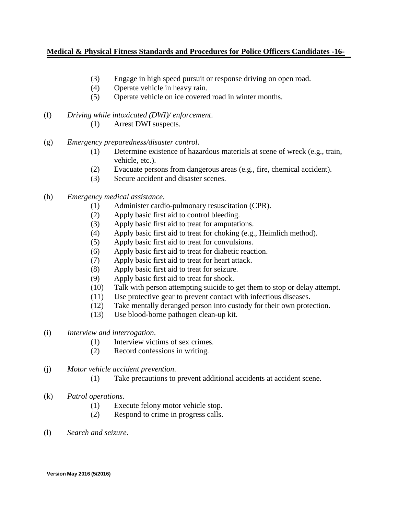#### **Medical & Physical Fitness Standards and Procedures for Police Officers Candidates -16-**

- (3) Engage in high speed pursuit or response driving on open road.
- (4) Operate vehicle in heavy rain.
- (5) Operate vehicle on ice covered road in winter months.
- (f) *Driving while intoxicated (DWI)/ enforcement*.
	- (1) Arrest DWI suspects.
- (g) *Emergency preparedness/disaster control*.
	- (1) Determine existence of hazardous materials at scene of wreck (e.g., train, vehicle, etc.).
	- (2) Evacuate persons from dangerous areas (e.g., fire, chemical accident).
	- (3) Secure accident and disaster scenes.
- (h) *Emergency medical assistance*.
	- (1) Administer cardio-pulmonary resuscitation (CPR).
	- (2) Apply basic first aid to control bleeding.
	- (3) Apply basic first aid to treat for amputations.
	- (4) Apply basic first aid to treat for choking (e.g., Heimlich method).
	- (5) Apply basic first aid to treat for convulsions.
	- (6) Apply basic first aid to treat for diabetic reaction.
	- (7) Apply basic first aid to treat for heart attack.
	- (8) Apply basic first aid to treat for seizure.
	- (9) Apply basic first aid to treat for shock.
	- (10) Talk with person attempting suicide to get them to stop or delay attempt.
	- (11) Use protective gear to prevent contact with infectious diseases.
	- (12) Take mentally deranged person into custody for their own protection.
	- (13) Use blood-borne pathogen clean-up kit.
- (i) *Interview and interrogation*.
	- (1) Interview victims of sex crimes.
	- (2) Record confessions in writing.
- (j) *Motor vehicle accident prevention*.
	- (1) Take precautions to prevent additional accidents at accident scene.
- (k) *Patrol operations*.
	- (1) Execute felony motor vehicle stop.
	- (2) Respond to crime in progress calls.
- (l) *Search and seizure*.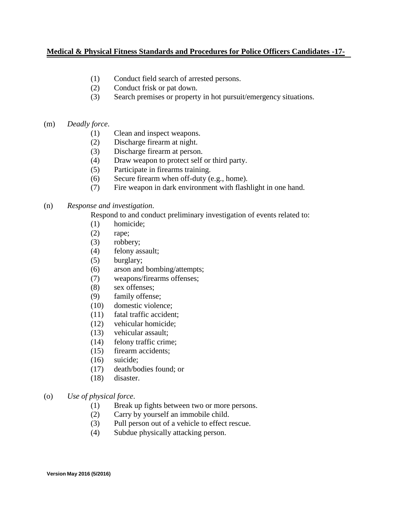#### **Medical & Physical Fitness Standards and Procedures for Police Officers Candidates -17-**

- (1) Conduct field search of arrested persons.
- (2) Conduct frisk or pat down.
- (3) Search premises or property in hot pursuit/emergency situations.
- (m) *Deadly force*.
	- (1) Clean and inspect weapons.
	- (2) Discharge firearm at night.
	- (3) Discharge firearm at person.
	- (4) Draw weapon to protect self or third party.
	- (5) Participate in firearms training.
	- (6) Secure firearm when off-duty (e.g., home).
	- (7) Fire weapon in dark environment with flashlight in one hand.

#### (n) *Response and investigation*.

Respond to and conduct preliminary investigation of events related to:

- (1) homicide;
- (2) rape;
- (3) robbery;
- (4) felony assault;
- (5) burglary;
- (6) arson and bombing/attempts;
- (7) weapons/firearms offenses;
- (8) sex offenses;
- (9) family offense;
- (10) domestic violence;
- (11) fatal traffic accident;
- (12) vehicular homicide;
- (13) vehicular assault;
- (14) felony traffic crime;
- (15) firearm accidents;
- (16) suicide;
- (17) death/bodies found; or
- (18) disaster.
- (o) *Use of physical force*.
	- (1) Break up fights between two or more persons.
	- (2) Carry by yourself an immobile child.
	- (3) Pull person out of a vehicle to effect rescue.
	- (4) Subdue physically attacking person.